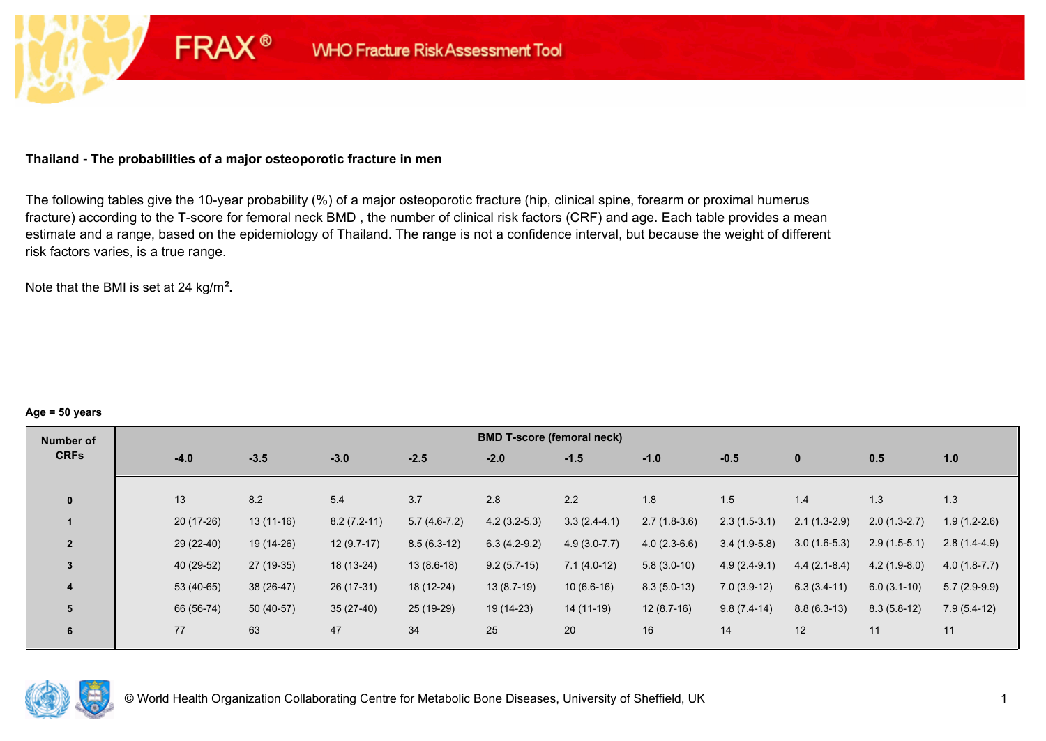## **Thailand - The probabilities of a major osteoporotic fracture in men**

**FRAX®** 

The following tables give the 10-year probability (%) of a major osteoporotic fracture (hip, clinical spine, forearm or proximal humerus fracture) according to the T-score for femoral neck BMD , the number of clinical risk factors (CRF) and age. Each table provides a mean estimate and a range, based on the epidemiology of Thailand. The range is not a confidence interval, but because the weight of different risk factors varies, is a true range.

Note that the BMI is set at 24 kg/m²**.** 

#### **Age = 50 years**

| Number of      |             |             |               |                | <b>BMD T-score (femoral neck)</b> |                  |                |                |                |                |                |
|----------------|-------------|-------------|---------------|----------------|-----------------------------------|------------------|----------------|----------------|----------------|----------------|----------------|
| <b>CRFs</b>    | $-4.0$      | $-3.5$      | $-3.0$        | $-2.5$         | $-2.0$                            | $-1.5$           | $-1.0$         | $-0.5$         | $\mathbf 0$    | 0.5            | 1.0            |
|                |             |             |               |                |                                   |                  |                |                |                |                |                |
| $\mathbf{0}$   | 13          | 8.2         | 5.4           | 3.7            | 2.8                               | 2.2              | 1.8            | 1.5            | 1.4            | 1.3            | 1.3            |
|                | $20(17-26)$ | $13(11-16)$ | $8.2(7.2-11)$ | $5.7(4.6-7.2)$ | $4.2(3.2-5.3)$                    | $3.3(2.4-4.1)$   | $2.7(1.8-3.6)$ | $2.3(1.5-3.1)$ | $2.1(1.3-2.9)$ | $2.0(1.3-2.7)$ | $1.9(1.2-2.6)$ |
| $\overline{2}$ | $29(22-40)$ | 19 (14-26)  | $12(9.7-17)$  | $8.5(6.3-12)$  | $6.3(4.2-9.2)$                    | $4.9(3.0 - 7.7)$ | $4.0(2.3-6.6)$ | $3.4(1.9-5.8)$ | $3.0(1.6-5.3)$ | $2.9(1.5-5.1)$ | $2.8(1.4-4.9)$ |
| $\overline{3}$ | 40 (29-52)  | 27 (19-35)  | 18 (13-24)    | $13(8.6-18)$   | $9.2(5.7-15)$                     | $7.1(4.0-12)$    | $5.8(3.0-10)$  | $4.9(2.4-9.1)$ | $4.4(2.1-8.4)$ | $4.2(1.9-8.0)$ | $4.0(1.8-7.7)$ |
| 4              | $53(40-65)$ | $38(26-47)$ | 26 (17-31)    | 18 (12-24)     | $13(8.7-19)$                      | $10(6.6-16)$     | $8.3(5.0-13)$  | $7.0(3.9-12)$  | $6.3(3.4-11)$  | $6.0(3.1-10)$  | $5.7(2.9-9.9)$ |
| 5              | 66 (56-74)  | 50 (40-57)  | $35(27-40)$   | 25 (19-29)     | 19 (14-23)                        | 14 (11-19)       | $12(8.7-16)$   | $9.8(7.4-14)$  | $8.8(6.3-13)$  | $8.3(5.8-12)$  | $7.9(5.4-12)$  |
| 6              | 77          | 63          | 47            | 34             | 25                                | 20               | 16             | 14             | 12             | 11             | 11             |

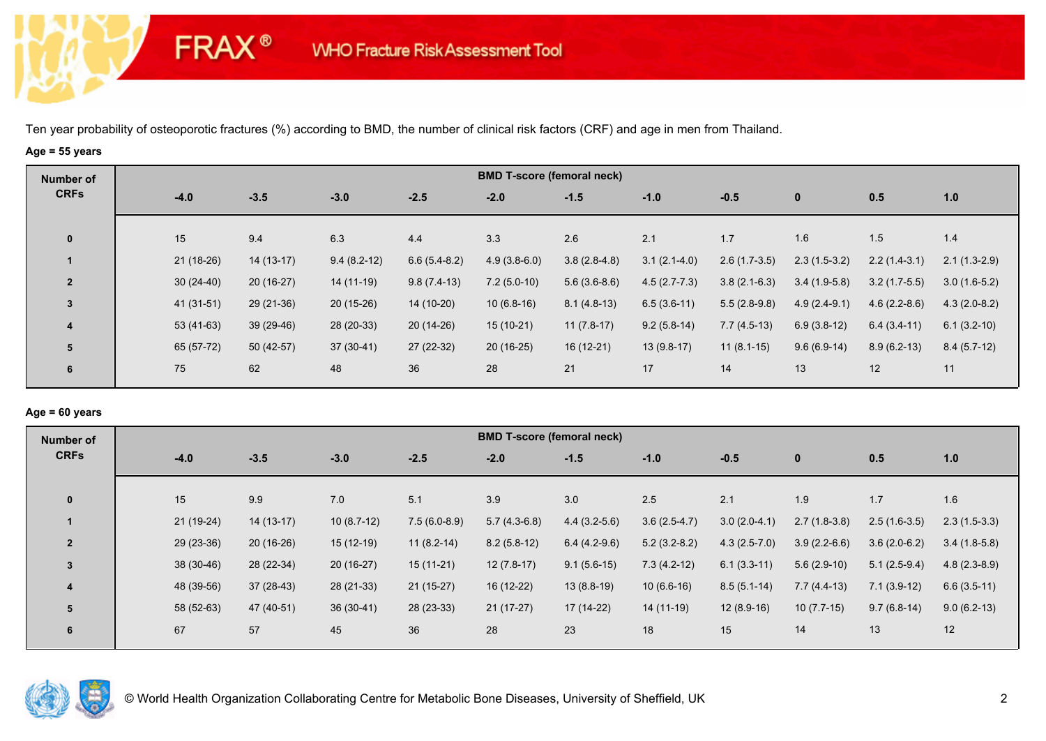# **Age = 55 years**

**FRAX®** 

| Number of      |        |             |             |               |                | <b>BMD T-score (femoral neck)</b> |                |                |                |                |                |                |
|----------------|--------|-------------|-------------|---------------|----------------|-----------------------------------|----------------|----------------|----------------|----------------|----------------|----------------|
| <b>CRFs</b>    | $-4.0$ |             | $-3.5$      | $-3.0$        | $-2.5$         | $-2.0$                            | $-1.5$         | $-1.0$         | $-0.5$         | $\mathbf 0$    | 0.5            | 1.0            |
| $\mathbf 0$    | 15     |             | 9.4         | 6.3           | 4.4            | 3.3                               | 2.6            | 2.1            | 1.7            | 1.6            | 1.5            | 1.4            |
|                |        | $21(18-26)$ | $14(13-17)$ | $9.4(8.2-12)$ | $6.6(5.4-8.2)$ | $4.9(3.8-6.0)$                    | $3.8(2.8-4.8)$ | $3.1(2.1-4.0)$ | $2.6(1.7-3.5)$ | $2.3(1.5-3.2)$ | $2.2(1.4-3.1)$ | $2.1(1.3-2.9)$ |
| $\overline{2}$ |        | $30(24-40)$ | $20(16-27)$ | 14 (11-19)    | $9.8(7.4-13)$  | $7.2(5.0-10)$                     | $5.6(3.6-8.6)$ | $4.5(2.7-7.3)$ | $3.8(2.1-6.3)$ | $3.4(1.9-5.8)$ | $3.2(1.7-5.5)$ | $3.0(1.6-5.2)$ |
| $\mathbf{3}$   |        | $41(31-51)$ | $29(21-36)$ | $20(15-26)$   | 14 (10-20)     | $10(6.8-16)$                      | $8.1(4.8-13)$  | $6.5(3.6-11)$  | $5.5(2.8-9.8)$ | $4.9(2.4-9.1)$ | $4.6(2.2-8.6)$ | $4.3(2.0-8.2)$ |
| 4              |        | 53 (41-63)  | $39(29-46)$ | 28 (20-33)    | $20(14-26)$    | $15(10-21)$                       | $11(7.8-17)$   | $9.2(5.8-14)$  | $7.7(4.5-13)$  | $6.9(3.8-12)$  | $6.4(3.4-11)$  | $6.1(3.2-10)$  |
| 5              |        | 65 (57-72)  | $50(42-57)$ | $37(30-41)$   | 27 (22-32)     | $20(16-25)$                       | $16(12-21)$    | $13(9.8-17)$   | $11(8.1-15)$   | $9.6(6.9-14)$  | $8.9(6.2-13)$  | $8.4(5.7-12)$  |
| 6              | 75     |             | 62          | 48            | 36             | 28                                | 21             | 17             | 14             | 13             | 12             | 11             |

## **Age = 60 years**

| Number of      |             |             |              |                | <b>BMD T-score (femoral neck)</b> |                |                |                |                |                |                |
|----------------|-------------|-------------|--------------|----------------|-----------------------------------|----------------|----------------|----------------|----------------|----------------|----------------|
| <b>CRFs</b>    | $-4.0$      | $-3.5$      | $-3.0$       | $-2.5$         | $-2.0$                            | $-1.5$         | $-1.0$         | $-0.5$         | $\mathbf{0}$   | 0.5            | 1.0            |
| $\mathbf{0}$   | 15          | 9.9         | 7.0          | 5.1            | 3.9                               | 3.0            | 2.5            | 2.1            | 1.9            | 1.7            | 1.6            |
|                | $21(19-24)$ | $14(13-17)$ | $10(8.7-12)$ | $7.5(6.0-8.9)$ | $5.7(4.3-6.8)$                    | $4.4(3.2-5.6)$ | $3.6(2.5-4.7)$ | $3.0(2.0-4.1)$ | $2.7(1.8-3.8)$ | $2.5(1.6-3.5)$ | $2.3(1.5-3.3)$ |
| $\overline{2}$ | 29 (23-36)  | $20(16-26)$ | $15(12-19)$  | $11(8.2-14)$   | $8.2(5.8-12)$                     | $6.4(4.2-9.6)$ | $5.2(3.2-8.2)$ | $4.3(2.5-7.0)$ | $3.9(2.2-6.6)$ | $3.6(2.0-6.2)$ | $3.4(1.8-5.8)$ |
| $\overline{3}$ | $38(30-46)$ | 28 (22-34)  | $20(16-27)$  | $15(11-21)$    | $12(7.8-17)$                      | $9.1(5.6-15)$  | $7.3(4.2-12)$  | $6.1(3.3-11)$  | $5.6(2.9-10)$  | $5.1(2.5-9.4)$ | $4.8(2.3-8.9)$ |
| 4              | 48 (39-56)  | $37(28-43)$ | 28 (21-33)   | $21(15-27)$    | 16 (12-22)                        | $13(8.8-19)$   | $10(6.6-16)$   | $8.5(5.1-14)$  | $7.7(4.4-13)$  | $7.1(3.9-12)$  | $6.6(3.5-11)$  |
| 5              | 58 (52-63)  | 47 (40-51)  | $36(30-41)$  | 28 (23-33)     | $21(17-27)$                       | $17(14-22)$    | 14 (11-19)     | $12(8.9-16)$   | $10(7.7-15)$   | $9.7(6.8-14)$  | $9.0(6.2-13)$  |
| 6              | 67          | 57          | 45           | 36             | 28                                | 23             | 18             | 15             | 14             | 13             | 12             |

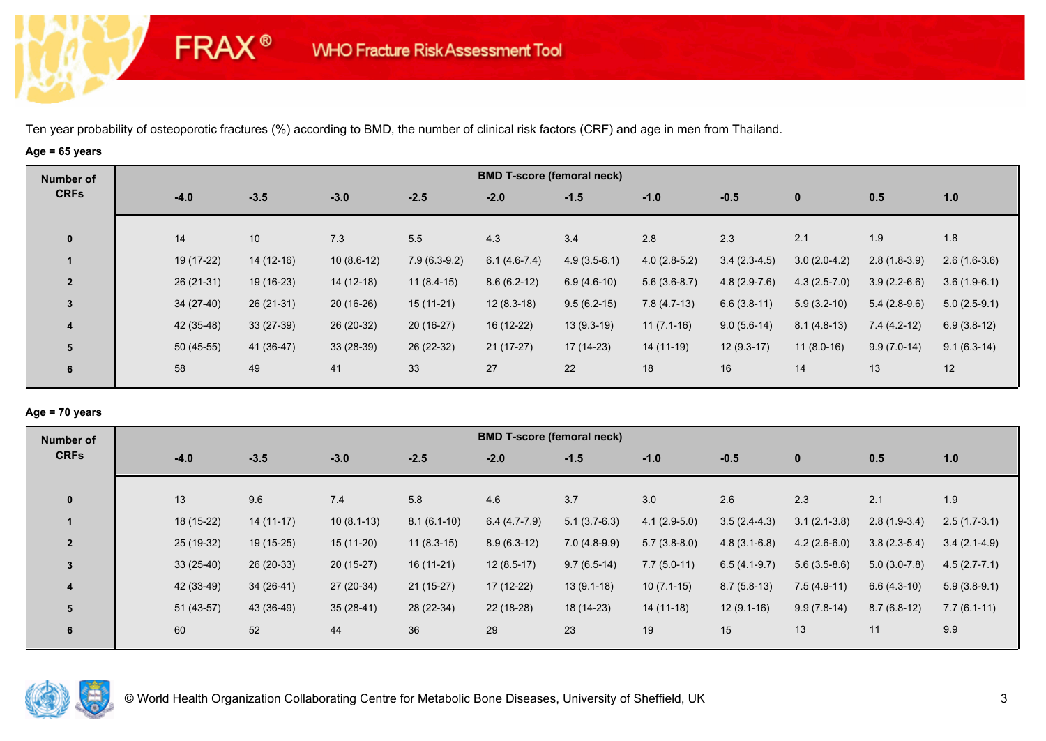# **Age = 65 years**

**FRAX®** 

| Number of      |    |             |             |              |                | <b>BMD T-score (femoral neck)</b> |                |                |                |                |                |                |
|----------------|----|-------------|-------------|--------------|----------------|-----------------------------------|----------------|----------------|----------------|----------------|----------------|----------------|
| <b>CRFs</b>    |    | $-4.0$      | $-3.5$      | $-3.0$       | $-2.5$         | $-2.0$                            | $-1.5$         | $-1.0$         | $-0.5$         | $\mathbf 0$    | 0.5            | 1.0            |
| $\mathbf 0$    | 14 |             | 10          | 7.3          | 5.5            | 4.3                               | 3.4            | 2.8            | 2.3            | 2.1            | 1.9            | 1.8            |
|                |    | 19 (17-22)  | $14(12-16)$ | $10(8.6-12)$ | $7.9(6.3-9.2)$ | $6.1(4.6-7.4)$                    | $4.9(3.5-6.1)$ | $4.0(2.8-5.2)$ | $3.4(2.3-4.5)$ | $3.0(2.0-4.2)$ | $2.8(1.8-3.9)$ | $2.6(1.6-3.6)$ |
| $\overline{2}$ |    | $26(21-31)$ | 19 (16-23)  | 14 (12-18)   | $11(8.4-15)$   | $8.6(6.2-12)$                     | $6.9(4.6-10)$  | $5.6(3.6-8.7)$ | $4.8(2.9-7.6)$ | $4.3(2.5-7.0)$ | $3.9(2.2-6.6)$ | $3.6(1.9-6.1)$ |
| $\mathbf{3}$   |    | $34(27-40)$ | $26(21-31)$ | $20(16-26)$  | $15(11-21)$    | $12(8.3-18)$                      | $9.5(6.2-15)$  | $7.8(4.7-13)$  | $6.6(3.8-11)$  | $5.9(3.2-10)$  | $5.4(2.8-9.6)$ | $5.0(2.5-9.1)$ |
| 4              |    | 42 (35-48)  | $33(27-39)$ | 26 (20-32)   | $20(16-27)$    | 16 (12-22)                        | $13(9.3-19)$   | $11(7.1-16)$   | $9.0(5.6-14)$  | $8.1(4.8-13)$  | $7.4(4.2-12)$  | $6.9(3.8-12)$  |
| 5              |    | $50(45-55)$ | 41 (36-47)  | $33(28-39)$  | 26 (22-32)     | $21(17-27)$                       | $17(14-23)$    | 14 (11-19)     | $12(9.3-17)$   | $11(8.0-16)$   | $9.9(7.0-14)$  | $9.1(6.3-14)$  |
| 6              | 58 |             | 49          | 41           | 33             | 27                                | 22             | 18             | 16             | 14             | 13             | 12             |

## **Age = 70 years**

| Number of      |             |             |              |               | <b>BMD T-score (femoral neck)</b> |                |                |                |                |                |                |
|----------------|-------------|-------------|--------------|---------------|-----------------------------------|----------------|----------------|----------------|----------------|----------------|----------------|
| <b>CRFs</b>    | $-4.0$      | $-3.5$      | $-3.0$       | $-2.5$        | $-2.0$                            | $-1.5$         | $-1.0$         | $-0.5$         | $\mathbf{0}$   | 0.5            | 1.0            |
|                |             |             |              |               |                                   |                |                |                |                |                |                |
| $\mathbf{0}$   | 13          | 9.6         | 7.4          | 5.8           | 4.6                               | 3.7            | 3.0            | 2.6            | 2.3            | 2.1            | 1.9            |
|                | 18 (15-22)  | $14(11-17)$ | $10(8.1-13)$ | $8.1(6.1-10)$ | $6.4(4.7-7.9)$                    | $5.1(3.7-6.3)$ | $4.1(2.9-5.0)$ | $3.5(2.4-4.3)$ | $3.1(2.1-3.8)$ | $2.8(1.9-3.4)$ | $2.5(1.7-3.1)$ |
| $\overline{2}$ | $25(19-32)$ | $19(15-25)$ | $15(11-20)$  | $11(8.3-15)$  | $8.9(6.3-12)$                     | $7.0(4.8-9.9)$ | $5.7(3.8-8.0)$ | $4.8(3.1-6.8)$ | $4.2(2.6-6.0)$ | $3.8(2.3-5.4)$ | $3.4(2.1-4.9)$ |
| $\overline{3}$ | $33(25-40)$ | $26(20-33)$ | $20(15-27)$  | $16(11-21)$   | $12(8.5-17)$                      | $9.7(6.5-14)$  | $7.7(5.0-11)$  | $6.5(4.1-9.7)$ | $5.6(3.5-8.6)$ | $5.0(3.0-7.8)$ | $4.5(2.7-7.1)$ |
| 4              | 42 (33-49)  | $34(26-41)$ | 27 (20-34)   | $21(15-27)$   | 17 (12-22)                        | $13(9.1-18)$   | $10(7.1-15)$   | $8.7(5.8-13)$  | $7.5(4.9-11)$  | $6.6(4.3-10)$  | $5.9(3.8-9.1)$ |
| 5              | $51(43-57)$ | 43 (36-49)  | $35(28-41)$  | 28 (22-34)    | $22(18-28)$                       | 18 (14-23)     | $14(11-18)$    | $12(9.1-16)$   | $9.9(7.8-14)$  | $8.7(6.8-12)$  | $7.7(6.1-11)$  |
| 6              | 60          | 52          | 44           | 36            | 29                                | 23             | 19             | 15             | 13             | 11             | 9.9            |
|                |             |             |              |               |                                   |                |                |                |                |                |                |

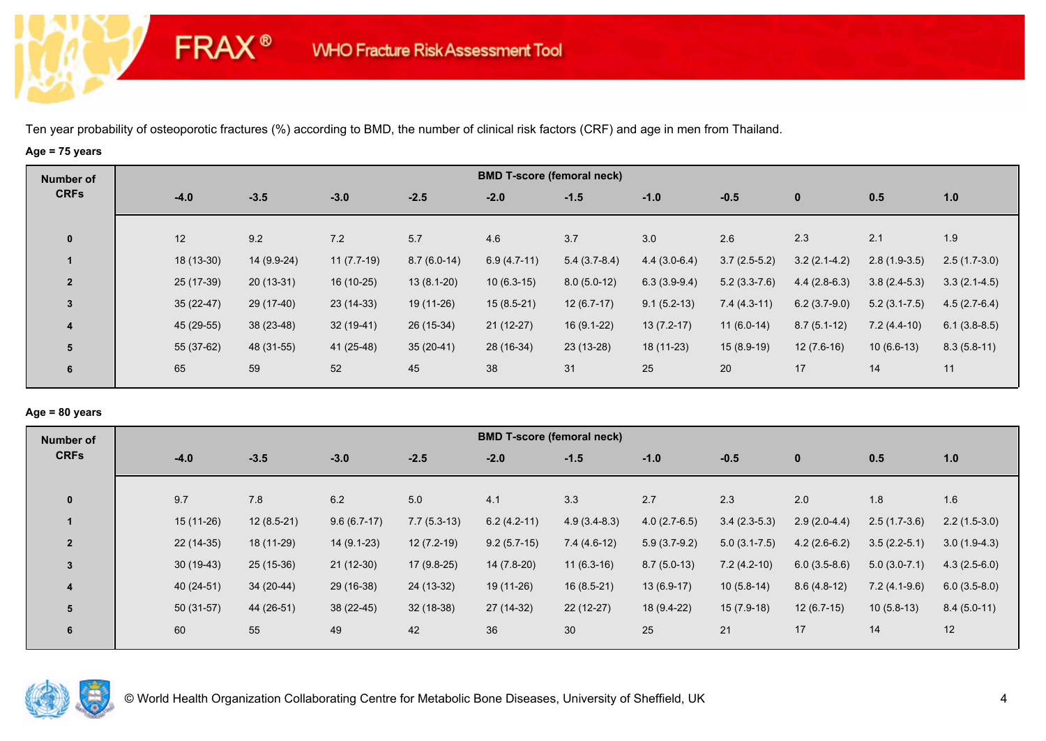# **Age = 75 years**

**FRAX®** 

| Number of               |             |             |              |               |               | <b>BMD T-score (femoral neck)</b> |                |                |                |                  |                |
|-------------------------|-------------|-------------|--------------|---------------|---------------|-----------------------------------|----------------|----------------|----------------|------------------|----------------|
| <b>CRFs</b>             | $-4.0$      | $-3.5$      | $-3.0$       | $-2.5$        | $-2.0$        | $-1.5$                            | $-1.0$         | $-0.5$         | $\mathbf{0}$   | 0.5              | 1.0            |
| $\mathbf 0$             | 12          | 9.2         | 7.2          | 5.7           | 4.6           | 3.7                               | 3.0            | 2.6            | 2.3            | 2.1              | 1.9            |
|                         | 18 (13-30)  | 14 (9.9-24) | $11(7.7-19)$ | $8.7(6.0-14)$ | $6.9(4.7-11)$ | $5.4(3.7-8.4)$                    | $4.4(3.0-6.4)$ | $3.7(2.5-5.2)$ | $3.2(2.1-4.2)$ | $2.8(1.9-3.5)$   | $2.5(1.7-3.0)$ |
| $\overline{2}$          | 25 (17-39)  | $20(13-31)$ | 16 (10-25)   | $13(8.1-20)$  | $10(6.3-15)$  | $8.0(5.0-12)$                     | $6.3(3.9-9.4)$ | $5.2(3.3-7.6)$ | $4.4(2.8-6.3)$ | $3.8(2.4-5.3)$   | $3.3(2.1-4.5)$ |
| $\mathbf{3}$            | $35(22-47)$ | 29 (17-40)  | $23(14-33)$  | 19 (11-26)    | $15(8.5-21)$  | $12(6.7-17)$                      | $9.1(5.2-13)$  | $7.4(4.3-11)$  | $6.2(3.7-9.0)$ | $5.2(3.1 - 7.5)$ | $4.5(2.7-6.4)$ |
| $\overline{\mathbf{4}}$ | 45 (29-55)  | $38(23-48)$ | $32(19-41)$  | 26 (15-34)    | $21(12-27)$   | $16(9.1-22)$                      | $13(7.2-17)$   | $11(6.0-14)$   | $8.7(5.1-12)$  | $7.2(4.4-10)$    | $6.1(3.8-8.5)$ |
| 5                       | 55 (37-62)  | 48 (31-55)  | 41 (25-48)   | $35(20-41)$   | 28 (16-34)    | $23(13-28)$                       | 18 (11-23)     | $15(8.9-19)$   | $12(7.6-16)$   | $10(6.6-13)$     | $8.3(5.8-11)$  |
| 6                       | 65          | 59          | 52           | 45            | 38            | 31                                | 25             | 20             | 17             | 14               | 11             |

## **Age = 80 years**

| Number of               |             |              |               |               |               | <b>BMD T-score (femoral neck)</b> |                |                  |                |                |                |
|-------------------------|-------------|--------------|---------------|---------------|---------------|-----------------------------------|----------------|------------------|----------------|----------------|----------------|
| <b>CRFs</b>             | $-4.0$      | $-3.5$       | $-3.0$        | $-2.5$        | $-2.0$        | $-1.5$                            | $-1.0$         | $-0.5$           | $\mathbf{0}$   | 0.5            | 1.0            |
| $\mathbf{0}$            | 9.7         | 7.8          | 6.2           | 5.0           | 4.1           | 3.3                               | 2.7            | 2.3              | 2.0            | 1.8            | 1.6            |
|                         | $15(11-26)$ | $12(8.5-21)$ | $9.6(6.7-17)$ | $7.7(5.3-13)$ | $6.2(4.2-11)$ | $4.9(3.4-8.3)$                    | $4.0(2.7-6.5)$ | $3.4(2.3-5.3)$   | $2.9(2.0-4.4)$ | $2.5(1.7-3.6)$ | $2.2(1.5-3.0)$ |
| $\overline{2}$          | $22(14-35)$ | 18 (11-29)   | $14(9.1-23)$  | $12(7.2-19)$  | $9.2(5.7-15)$ | $7.4(4.6-12)$                     | $5.9(3.7-9.2)$ | $5.0(3.1 - 7.5)$ | $4.2(2.6-6.2)$ | $3.5(2.2-5.1)$ | $3.0(1.9-4.3)$ |
| 3                       | $30(19-43)$ | 25 (15-36)   | $21(12-30)$   | $17(9.8-25)$  | 14 (7.8-20)   | $11(6.3-16)$                      | $8.7(5.0-13)$  | $7.2(4.2-10)$    | $6.0(3.5-8.6)$ | $5.0(3.0-7.1)$ | $4.3(2.5-6.0)$ |
| $\overline{\mathbf{4}}$ | 40 (24-51)  | $34(20-44)$  | 29 (16-38)    | 24 (13-32)    | $19(11-26)$   | $16(8.5-21)$                      | $13(6.9-17)$   | $10(5.8-14)$     | $8.6(4.8-12)$  | $7.2(4.1-9.6)$ | $6.0(3.5-8.0)$ |
| 5                       | $50(31-57)$ | 44 (26-51)   | $38(22-45)$   | $32(18-38)$   | 27 (14-32)    | $22(12-27)$                       | 18 (9.4-22)    | $15(7.9-18)$     | $12(6.7-15)$   | $10(5.8-13)$   | $8.4(5.0-11)$  |
| 6                       | 60          | 55           | 49            | 42            | 36            | 30                                | 25             | 21               | 17             | 14             | 12             |